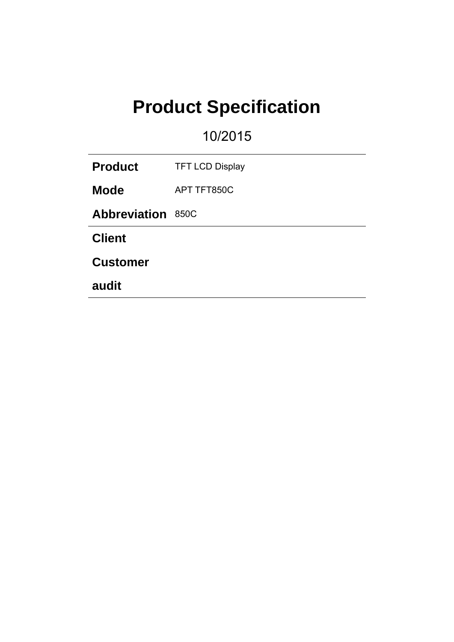# **Product Specification**

10/2015

| <b>Product</b>           | <b>TFT LCD Display</b> |  |  |
|--------------------------|------------------------|--|--|
| <b>Mode</b>              | APT TFT850C            |  |  |
| <b>Abbreviation 850C</b> |                        |  |  |
| <b>Client</b>            |                        |  |  |
| <b>Customer</b>          |                        |  |  |
| audit                    |                        |  |  |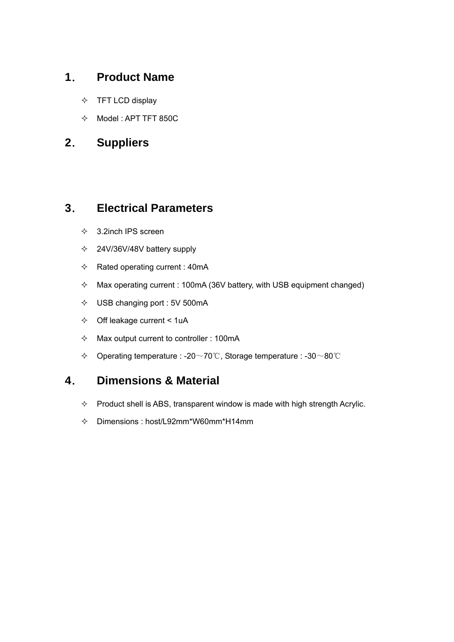# **1**. **Product Name**

- $\Diamond$  TFT LCD display
- $\lozenge$  Model : APT TFT 850C

# **2**. **Suppliers**

## **3**. **Electrical Parameters**

- $\div$  3.2inch IPS screen
- $\div$  24V/36V/48V battery supply
- $\Leftrightarrow$  Rated operating current : 40mA
- $\Diamond$  Max operating current : 100mA (36V battery, with USB equipment changed)
- USB changing port : 5V 500mA
- $\div$  Off leakage current < 1uA
- $\Diamond$  Max output current to controller : 100mA
- Operating temperature : -20~70℃, Storage temperature : -30~80℃

# **4**. **Dimensions & Material**

- $\Diamond$  Product shell is ABS, transparent window is made with high strength Acrylic.
- Dimensions : host/L92mm\*W60mm\*H14mm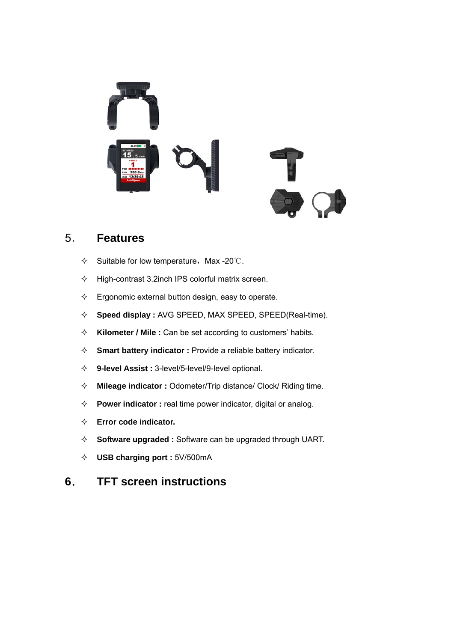

## 5. **Features**

- $\div$  Suitable for low temperature, Max -20℃.
- $\div$  High-contrast 3.2inch IPS colorful matrix screen.
- $\Diamond$  Ergonomic external button design, easy to operate.
- **Speed display :** AVG SPEED, MAX SPEED, SPEED(Real-time).
- **Kilometer / Mile :** Can be set according to customers' habits.
- **Smart battery indicator :** Provide a reliable battery indicator.
- **9-level Assist :** 3-level/5-level/9-level optional.
- **Mileage indicator :** Odometer/Trip distance/ Clock/ Riding time.
- **Power indicator :** real time power indicator, digital or analog.
- **Error code indicator.**
- **Software upgraded :** Software can be upgraded through UART.
- **USB charging port :** 5V/500mA

## **6**. **TFT screen instructions**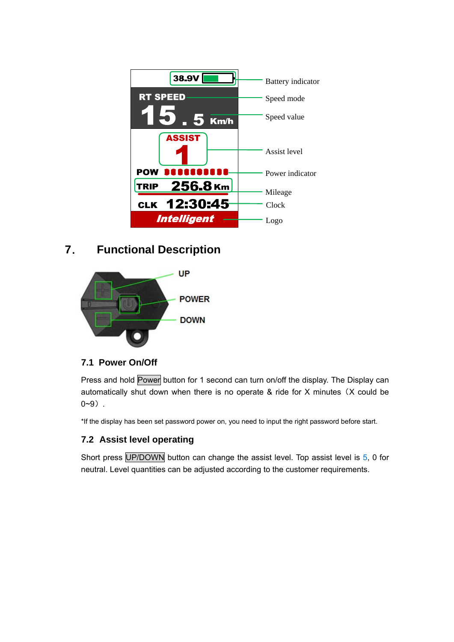

# **7**. **Functional Description**



#### **7.1 Power On/Off**

Press and hold Power button for 1 second can turn on/off the display. The Display can automatically shut down when there is no operate & ride for X minutes (X could be  $0 - 9$ .

\*If the display has been set password power on, you need to input the right password before start.

#### **7.2 Assist level operating**

Short press UP/DOWN button can change the assist level. Top assist level is 5, 0 for neutral. Level quantities can be adjusted according to the customer requirements.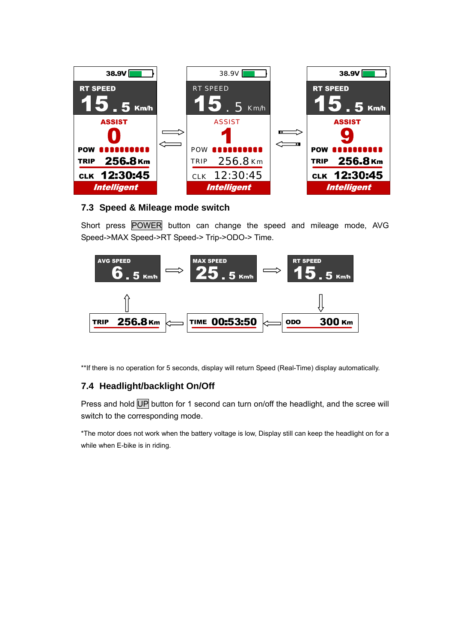

#### **7.3 Speed & Mileage mode switch**

Short press POWER button can change the speed and mileage mode, AVG Speed->MAX Speed->RT Speed-> Trip->ODO-> Time.



\*\*If there is no operation for 5 seconds, display will return Speed (Real-Time) display automatically.

#### **7.4 Headlight/backlight On/Off**

Press and hold UP button for 1 second can turn on/off the headlight, and the scree will switch to the corresponding mode.

\*The motor does not work when the battery voltage is low, Display still can keep the headlight on for a while when E-bike is in riding.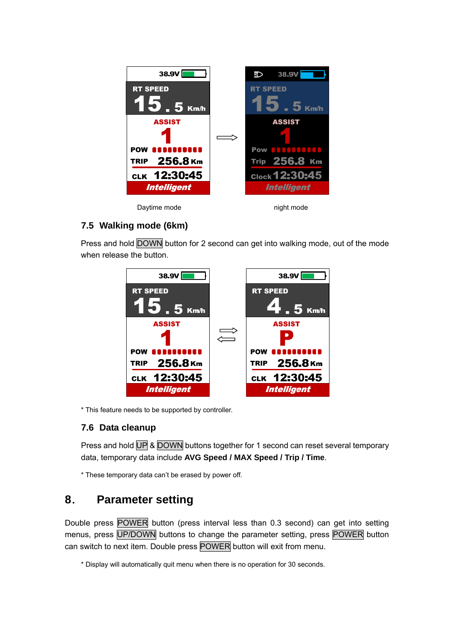

#### **7.5 Walking mode (6km)**

Press and hold DOWN button for 2 second can get into walking mode, out of the mode when release the button.



\* This feature needs to be supported by controller.

#### **7.6 Data cleanup**

Press and hold UP & DOWN buttons together for 1 second can reset several temporary data, temporary data include **AVG Speed / MAX Speed / Trip / Time**.

\* These temporary data can't be erased by power off.

## **8**. **Parameter setting**

Double press POWER button (press interval less than 0.3 second) can get into setting menus, press UP/DOWN buttons to change the parameter setting, press POWER button can switch to next item. Double press POWER button will exit from menu.

\* Display will automatically quit menu when there is no operation for 30 seconds.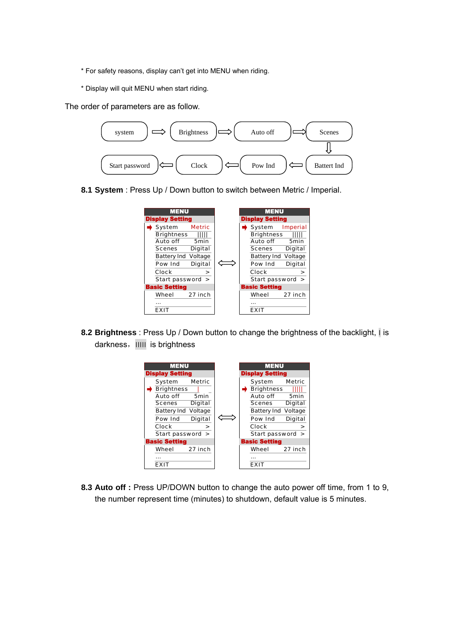- \* For safety reasons, display can't get into MENU when riding.
- \* Display will quit MENU when start riding.

The order of parameters are as follow.



**8.1 System** : Press Up / Down button to switch between Metric / Imperial.



**8.2 Brightness** : Press Up / Down button to change the brightness of the backlight, ׀ is darkness, IIIII is brightness



**8.3 Auto off :** Press UP/DOWN button to change the auto power off time, from 1 to 9, the number represent time (minutes) to shutdown, default value is 5 minutes.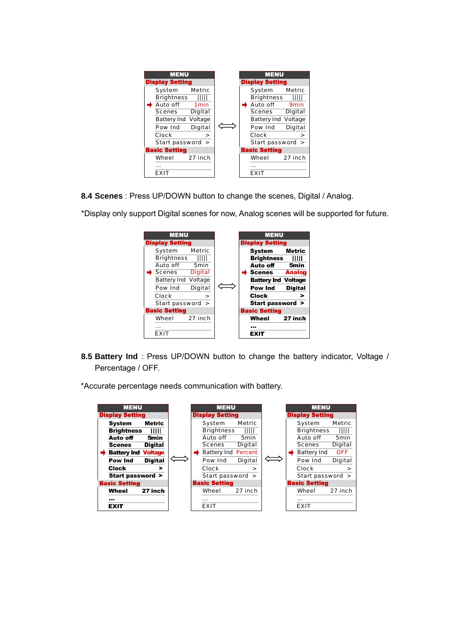

**8.4 Scenes** : Press UP/DOWN button to change the scenes, Digital / Analog.



\*Display only support Digital scenes for now, Analog scenes will be supported for future.

**8.5 Battery Ind** : Press UP/DOWN button to change the battery indicator, Voltage / Percentage / OFF.

\*Accurate percentage needs communication with battery.

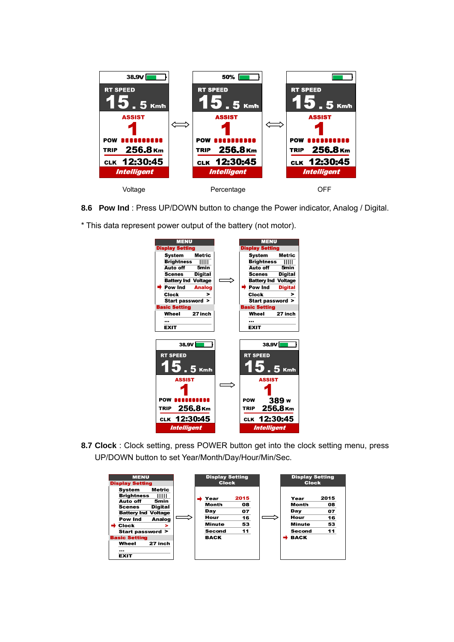

**8.6 Pow Ind** : Press UP/DOWN button to change the Power indicator, Analog / Digital.

\* This data represent power output of the battery (not motor).



**8.7 Clock** : Clock setting, press POWER button get into the clock setting menu, press UP/DOWN button to set Year/Month/Day/Hour/Min/Sec.

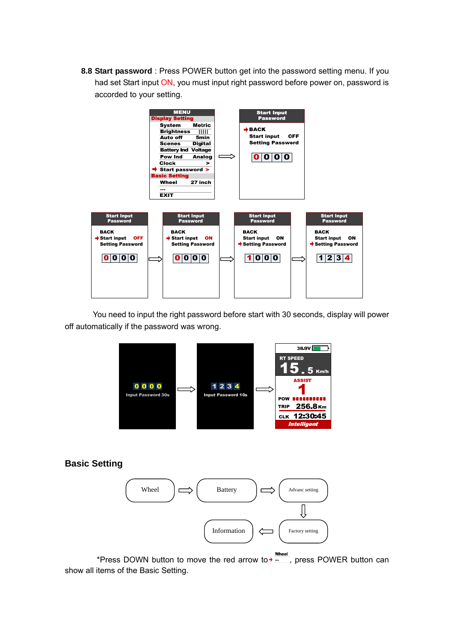**8.8 Start password** : Press POWER button get into the password setting menu. If you had set Start input ON, you must input right password before power on, password is accorded to your setting.



 You need to input the right password before start with 30 seconds, display will power off automatically if the password was wrong.



#### **Basic Setting**



\*Press DOWN button to move the red arrow to + ... press POWER button can show all items of the Basic Setting.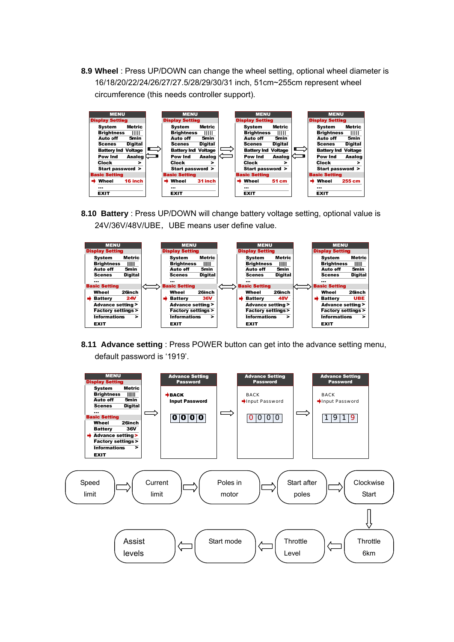**8.9 Wheel** : Press UP/DOWN can change the wheel setting, optional wheel diameter is 16/18/20/22/24/26/27/27.5/28/29/30/31 inch, 51cm~255cm represent wheel circumference (this needs controller support).



**8.10 Battery** : Press UP/DOWN will change battery voltage setting, optional value is 24V/36V/48V/UBE, UBE means user define value.



**8.11 Advance setting** : Press POWER button can get into the advance setting menu, default password is '1919'.

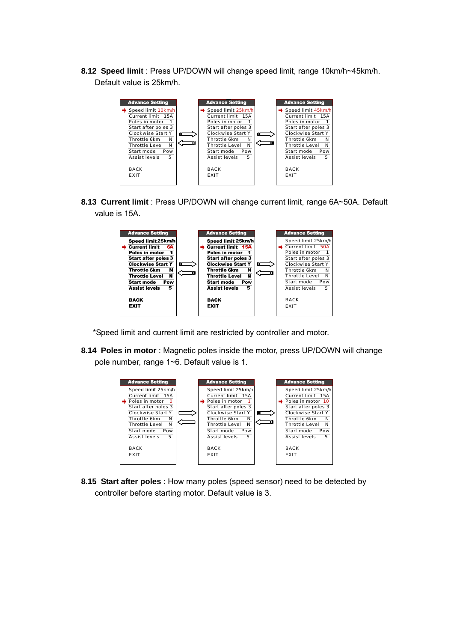8.12 Speed limit : Press UP/DOWN will change speed limit, range 10km/h~45km/h. Default value is 25km/h.



**8.13Current limit** : Press UP/DOWN will change current limit, range 6A~50A. Default value is 15A.



\*Speed limit and current limit are restricted by controller and motor.

**8.14 Poles in motor** : Magnetic poles inside the motor, press UP/DOWN will change pole number, range 1~6. Default value is 1.



**8.15 Start after poles** : How many poles (speed sensor) need to be detected by controller before starting motor. Default value is 3.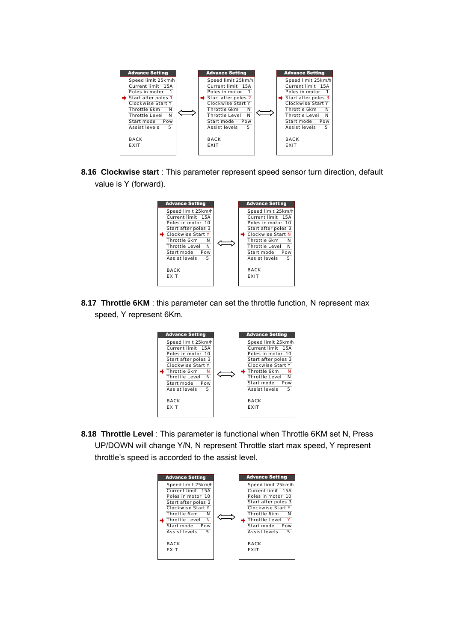

**8.16Clockwise start** : This parameter represent speed sensor turn direction, default value is Y (forward).



**8.17 Throttle 6KM** : this parameter can set the throttle function, N represent max speed, Y represent 6Km.



**8.18Throttle Level** : This parameter is functional when Throttle 6KM set N, Press UP/DOWN will change Y/N, N represent Throttle start max speed, Y represent throttle's speed is accorded to the assist level.

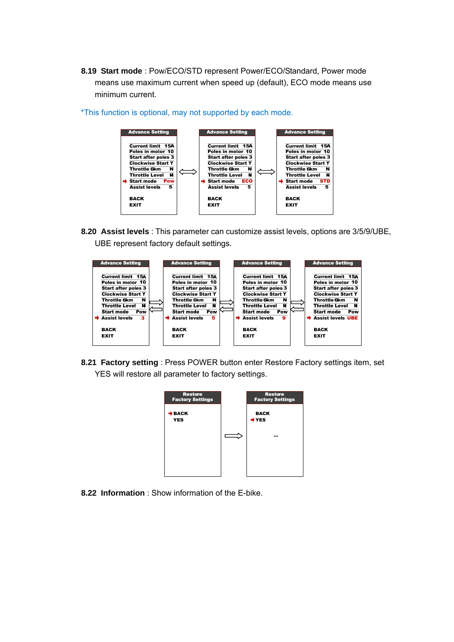8.19 Start mode : Pow/ECO/STD represent Power/ECO/Standard, Power mode means use maximum current when speed up (default), ECO mode means use minimum current.



\*This function is optional, may not supported by each mode.

**8.20Assist levels** : This parameter can customize assist levels, options are 3/5/9/UBE, UBE represent factory default settings.



**8.21 Factory setting** : Press POWER button enter Restore Factory settings item, set YES will restore all parameter to factory settings.



**8.22 Information** : Show information of the E-bike.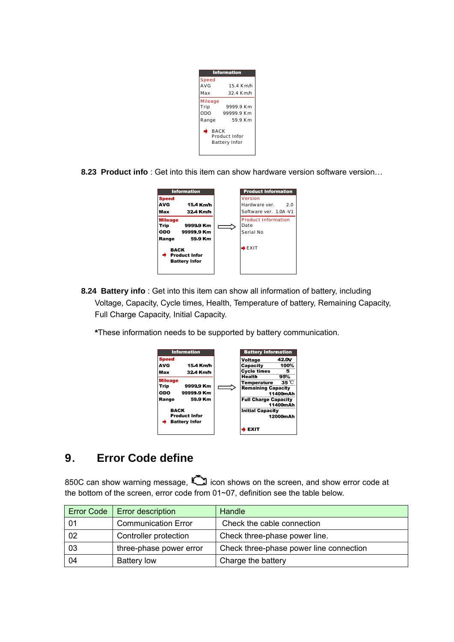| <b>Information</b>                                   |            |  |  |  |
|------------------------------------------------------|------------|--|--|--|
| <b>Speed</b>                                         |            |  |  |  |
| AVG                                                  | 15.4 Km/h  |  |  |  |
| Max                                                  | 32.4 Km/h  |  |  |  |
| Mileage                                              |            |  |  |  |
| Trip                                                 | 9999.9 Km  |  |  |  |
| ODO                                                  | 99999.9 Km |  |  |  |
| Range                                                | 59.9 Km    |  |  |  |
| <b>BACK</b><br>Product Infor<br><b>Battery Infor</b> |            |  |  |  |

**8.23 Product info** : Get into this item can show hardware version software version...



- **8.24 Battery info** : Get into this item can show all information of battery, including Voltage, Capacity, Cycle times, Health, Temperature of battery, Remaining Capacity, Full Charge Capacity, Initial Capacity.
	- **\***These information needs to be supported by battery communication.



# **9**. **Error Code define**

850C can show warning message,  $\Box$  icon shows on the screen, and show error code at the bottom of the screen, error code from 01~07, definition see the table below.

| <b>Error Code</b> | <b>Error description</b>   | Handle                                  |  |
|-------------------|----------------------------|-----------------------------------------|--|
| 01                | <b>Communication Error</b> | Check the cable connection              |  |
| 02                | Controller protection      | Check three-phase power line.           |  |
| 03                | three-phase power error    | Check three-phase power line connection |  |
| 04                | <b>Battery low</b>         | Charge the battery                      |  |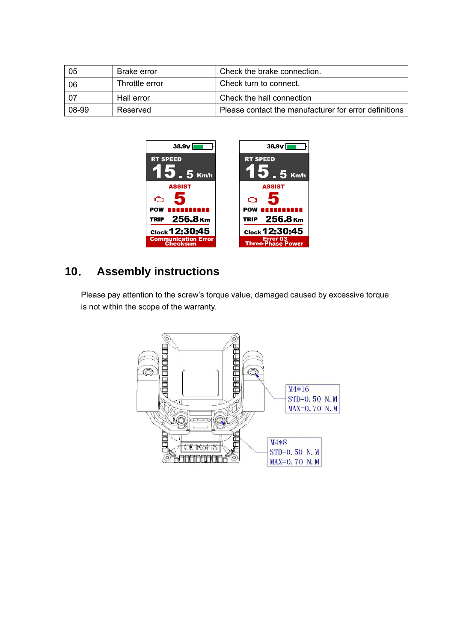| 05    | <b>Brake error</b> | Check the brake connection.                           |  |
|-------|--------------------|-------------------------------------------------------|--|
| 06    | Throttle error     | Check turn to connect.                                |  |
| -07   | Hall error         | Check the hall connection                             |  |
| 08-99 | Reserved           | Please contact the manufacturer for error definitions |  |



# **10**. **Assembly instructions**

Please pay attention to the screw's torque value, damaged caused by excessive torque is not within the scope of the warranty.

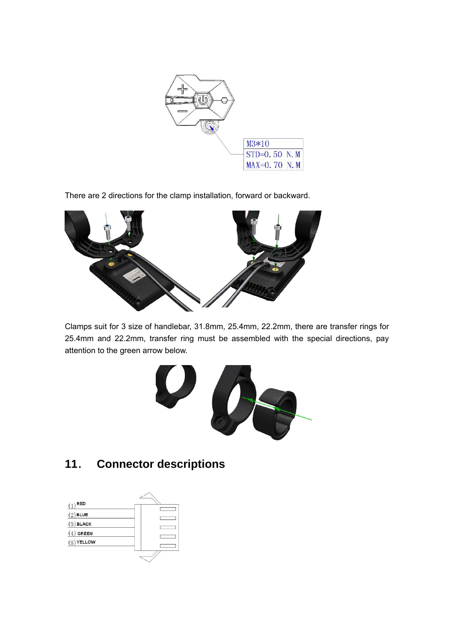

There are 2 directions for the clamp installation, forward or backward.



Clamps suit for 3 size of handlebar, 31.8mm, 25.4mm, 22.2mm, there are transfer rings for 25.4mm and 22.2mm, transfer ring must be assembled with the special directions, pay attention to the green arrow below.



## **11**. **Connector descriptions**